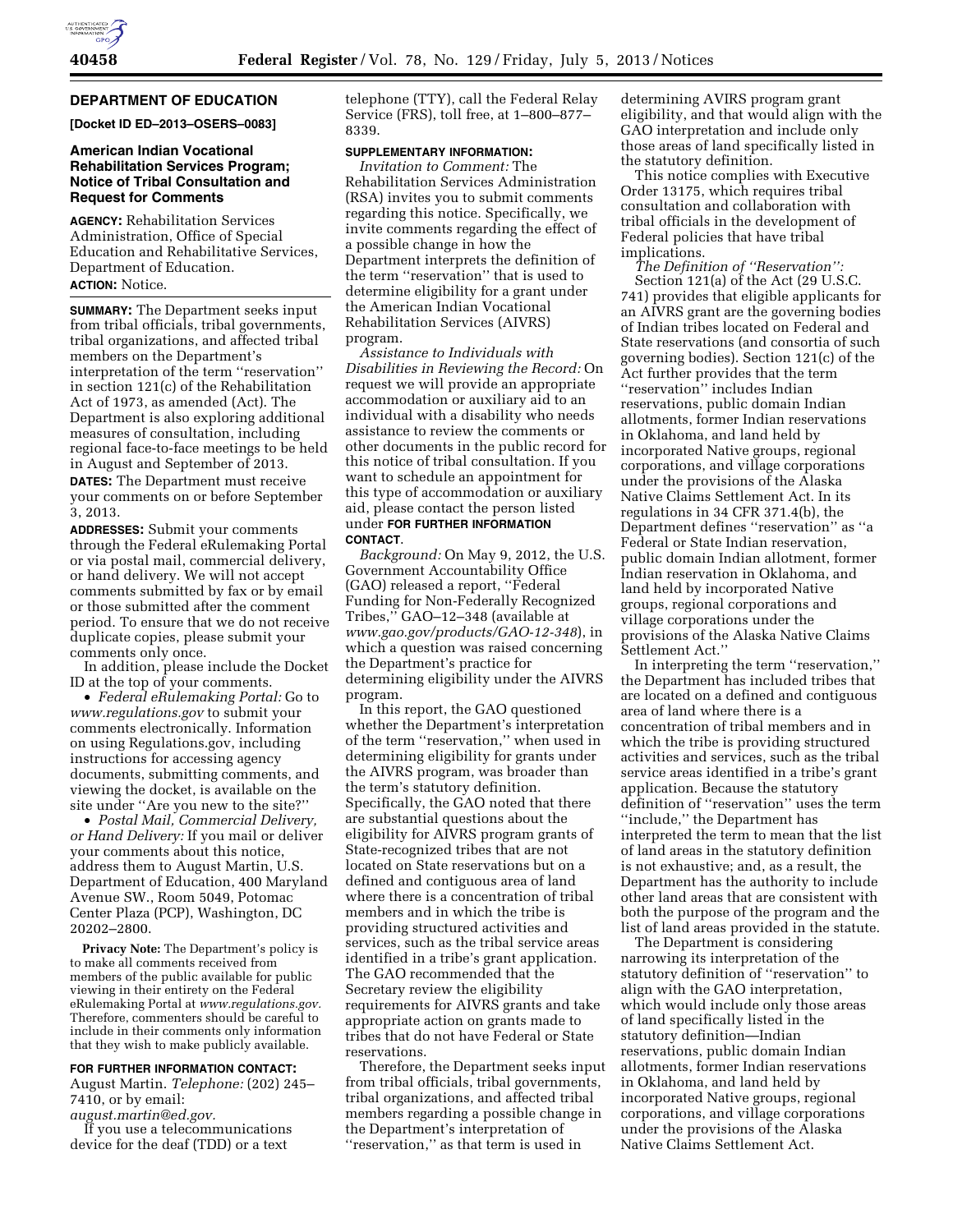# **DEPARTMENT OF EDUCATION**

**[Docket ID ED–2013–OSERS–0083]** 

## **American Indian Vocational Rehabilitation Services Program; Notice of Tribal Consultation and Request for Comments**

**AGENCY:** Rehabilitation Services Administration, Office of Special Education and Rehabilitative Services, Department of Education. **ACTION:** Notice.

**SUMMARY:** The Department seeks input from tribal officials, tribal governments, tribal organizations, and affected tribal members on the Department's interpretation of the term ''reservation'' in section 121(c) of the Rehabilitation Act of 1973, as amended (Act). The Department is also exploring additional measures of consultation, including regional face-to-face meetings to be held in August and September of 2013. **DATES:** The Department must receive your comments on or before September 3, 2013.

**ADDRESSES:** Submit your comments through the Federal eRulemaking Portal or via postal mail, commercial delivery, or hand delivery. We will not accept comments submitted by fax or by email or those submitted after the comment period. To ensure that we do not receive duplicate copies, please submit your comments only once.

In addition, please include the Docket ID at the top of your comments.

• *Federal eRulemaking Portal:* Go to *[www.regulations.gov](http://www.regulations.gov)* to submit your comments electronically. Information on using Regulations.gov, including instructions for accessing agency documents, submitting comments, and viewing the docket, is available on the site under ''Are you new to the site?''

• *Postal Mail, Commercial Delivery, or Hand Delivery:* If you mail or deliver your comments about this notice, address them to August Martin, U.S. Department of Education, 400 Maryland Avenue SW., Room 5049, Potomac Center Plaza (PCP), Washington, DC 20202–2800.

**Privacy Note:** The Department's policy is to make all comments received from members of the public available for public viewing in their entirety on the Federal eRulemaking Portal at *[www.regulations.gov.](http://www.regulations.gov)*  Therefore, commenters should be careful to include in their comments only information that they wish to make publicly available.

## **FOR FURTHER INFORMATION CONTACT:**

August Martin. *Telephone:* (202) 245– 7410, or by email:

*[august.martin@ed.gov.](mailto:august.martin@ed.gov)* 

If you use a telecommunications device for the deaf (TDD) or a text

telephone (TTY), call the Federal Relay Service (FRS), toll free, at 1–800–877– 8339.

# **SUPPLEMENTARY INFORMATION:**

*Invitation to Comment:* The Rehabilitation Services Administration (RSA) invites you to submit comments regarding this notice. Specifically, we invite comments regarding the effect of a possible change in how the Department interprets the definition of the term ''reservation'' that is used to determine eligibility for a grant under the American Indian Vocational Rehabilitation Services (AIVRS) program.

*Assistance to Individuals with Disabilities in Reviewing the Record:* On request we will provide an appropriate accommodation or auxiliary aid to an individual with a disability who needs assistance to review the comments or other documents in the public record for this notice of tribal consultation. If you want to schedule an appointment for this type of accommodation or auxiliary aid, please contact the person listed under **FOR FURTHER INFORMATION CONTACT**.

*Background:* On May 9, 2012, the U.S. Government Accountability Office (GAO) released a report, ''Federal Funding for Non-Federally Recognized Tribes,'' GAO–12–348 (available at *[www.gao.gov/products/GAO-12-348](http://www.gao.gov/products/GAO-12-348)*), in which a question was raised concerning the Department's practice for determining eligibility under the AIVRS program.

In this report, the GAO questioned whether the Department's interpretation of the term ''reservation,'' when used in determining eligibility for grants under the AIVRS program, was broader than the term's statutory definition. Specifically, the GAO noted that there are substantial questions about the eligibility for AIVRS program grants of State-recognized tribes that are not located on State reservations but on a defined and contiguous area of land where there is a concentration of tribal members and in which the tribe is providing structured activities and services, such as the tribal service areas identified in a tribe's grant application. The GAO recommended that the Secretary review the eligibility requirements for AIVRS grants and take appropriate action on grants made to tribes that do not have Federal or State reservations.

Therefore, the Department seeks input from tribal officials, tribal governments, tribal organizations, and affected tribal members regarding a possible change in the Department's interpretation of ''reservation,'' as that term is used in

determining AVIRS program grant eligibility, and that would align with the GAO interpretation and include only those areas of land specifically listed in the statutory definition.

This notice complies with Executive Order 13175, which requires tribal consultation and collaboration with tribal officials in the development of Federal policies that have tribal implications.

*The Definition of ''Reservation'':*  Section 121(a) of the Act (29 U.S.C. 741) provides that eligible applicants for an AIVRS grant are the governing bodies of Indian tribes located on Federal and State reservations (and consortia of such governing bodies). Section 121(c) of the Act further provides that the term ''reservation'' includes Indian reservations, public domain Indian allotments, former Indian reservations in Oklahoma, and land held by incorporated Native groups, regional corporations, and village corporations under the provisions of the Alaska Native Claims Settlement Act. In its regulations in 34 CFR 371.4(b), the Department defines ''reservation'' as ''a Federal or State Indian reservation, public domain Indian allotment, former Indian reservation in Oklahoma, and land held by incorporated Native groups, regional corporations and village corporations under the provisions of the Alaska Native Claims Settlement Act.''

In interpreting the term ''reservation,'' the Department has included tribes that are located on a defined and contiguous area of land where there is a concentration of tribal members and in which the tribe is providing structured activities and services, such as the tribal service areas identified in a tribe's grant application. Because the statutory definition of ''reservation'' uses the term ''include,'' the Department has interpreted the term to mean that the list of land areas in the statutory definition is not exhaustive; and, as a result, the Department has the authority to include other land areas that are consistent with both the purpose of the program and the list of land areas provided in the statute.

The Department is considering narrowing its interpretation of the statutory definition of ''reservation'' to align with the GAO interpretation, which would include only those areas of land specifically listed in the statutory definition—Indian reservations, public domain Indian allotments, former Indian reservations in Oklahoma, and land held by incorporated Native groups, regional corporations, and village corporations under the provisions of the Alaska Native Claims Settlement Act.